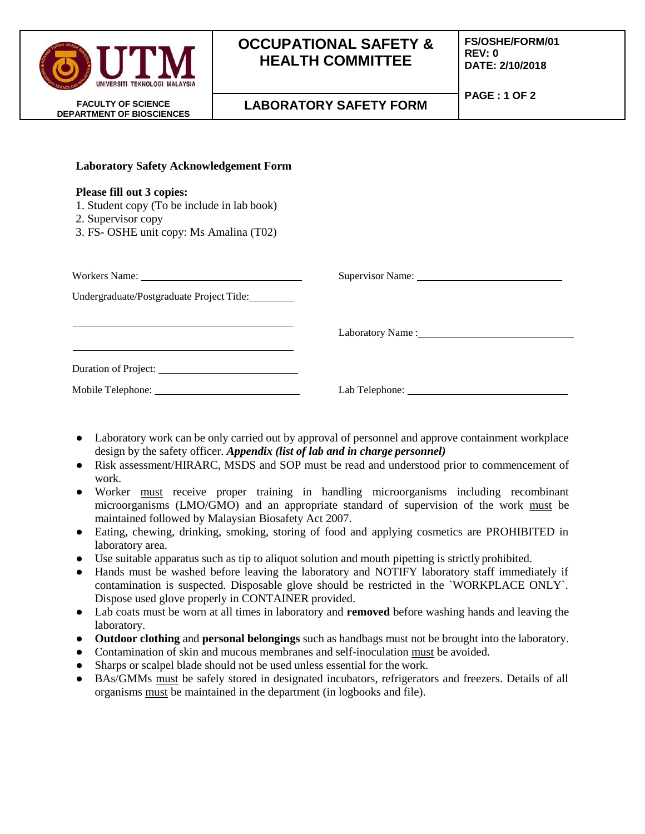| UNIVERSITI TEKNOLOGI MALAYSIA                                 | <b>OCCUPATIONAL SAFETY &amp;</b><br><b>HEALTH COMMITTEE</b> | <b>FS/OSHE/FORM/01</b><br>REV: 0<br>DATE: 2/10/2018 |
|---------------------------------------------------------------|-------------------------------------------------------------|-----------------------------------------------------|
| <b>FACULTY OF SCIENCE</b><br><b>DEPARTMENT OF BIOSCIENCES</b> | <b>LABORATORY SAFETY FORM</b>                               | PAGE: 1 OF 2                                        |
|                                                               |                                                             |                                                     |

| <b>Please fill out 3 copies:</b><br>1. Student copy (To be include in lab book)<br>2. Supervisor copy<br>3. FS- OSHE unit copy: Ms Amalina (T02) |                  |  |
|--------------------------------------------------------------------------------------------------------------------------------------------------|------------------|--|
| Workers Name:<br>Undergraduate/Postgraduate Project Title:                                                                                       | Supervisor Name: |  |

**Laboratory Safety Acknowledgement Form** 

Duration of Project:

| Laboratory work can be only carried out by approval of personnel and approve containment workplace |
|----------------------------------------------------------------------------------------------------|
| design by the safety officer. Appendix (list of lab and in charge personnel)                       |

Mobile Telephone: Lab Telephone: Lab Telephone: Lab Telephone:

Laboratory Name :

- Risk assessment/HIRARC, MSDS and SOP must be read and understood prior to commencement of work.
- Worker must receive proper training in handling microorganisms including recombinant microorganisms (LMO/GMO) and an appropriate standard of supervision of the work must be maintained followed by Malaysian Biosafety Act 2007.
- Eating, chewing, drinking, smoking, storing of food and applying cosmetics are PROHIBITED in laboratory area.
- Use suitable apparatus such as tip to aliquot solution and mouth pipetting is strictly prohibited.
- Hands must be washed before leaving the laboratory and NOTIFY laboratory staff immediately if contamination is suspected. Disposable glove should be restricted in the `WORKPLACE ONLY`. Dispose used glove properly in CONTAINER provided.
- Lab coats must be worn at all times in laboratory and **removed** before washing hands and leaving the laboratory.
- **Outdoor clothing** and **personal belongings** such as handbags must not be brought into the laboratory.
- Contamination of skin and mucous membranes and self-inoculation must be avoided.
- Sharps or scalpel blade should not be used unless essential for the work.
- BAs/GMMs must be safely stored in designated incubators, refrigerators and freezers. Details of all organisms must be maintained in the department (in logbooks and file).